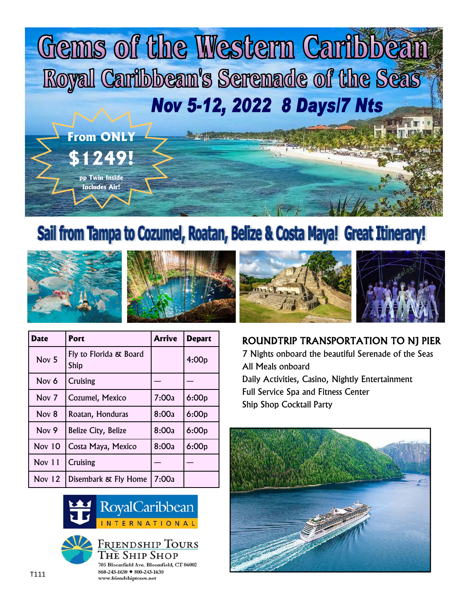

## Sail from Tampa to Cozumel, Roatan, Belize & Costa Maya! Great Itinerary!





| Date             | Port                           | Arrive | <b>Depart</b> |
|------------------|--------------------------------|--------|---------------|
| Nov <sub>5</sub> | Fly to Florida & Board<br>Ship |        | 4:00p         |
| Nov 6            | Cruising                       |        |               |
| Nov <sub>7</sub> | Cozumel, Mexico                | 7:00a  | 6:00p         |
| Nov 8            | Roatan, Honduras               | 8:00a  | 6:00p         |
| Nov <sub>9</sub> | Belize City, Belize            | 8:00a  | 6:00p         |
| <b>Nov 10</b>    | Costa Maya, Mexico             | 8:00a  | 6:00p         |
| Nov $11$         | <b>Cruising</b>                |        |               |
| Nov $12$         | Disembark & Fly Home           | 7:00a  |               |





705 Bloomfield Ave, Bloomfield, CT 06002 860-243-1630 ● 800-243-1630 www.friendshiptours.net



## ROUNDTRIP TRANSPORTATION TO NJ PIER

7 Nights onboard the beautiful Serenade of the Seas All Meals onboard Daily Activities, Casino, Nightly Entertainment Full Service Spa and Fitness Center Ship Shop Cocktail Party